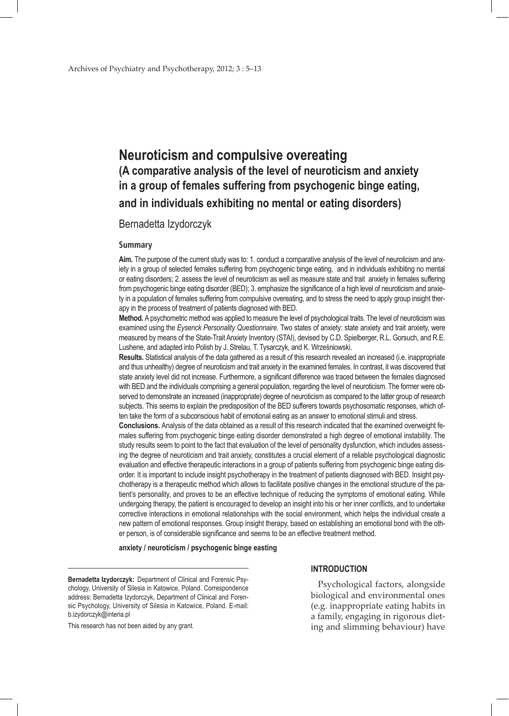# **Neuroticism and compulsive overeating (A comparative analysis of the level of neuroticism and anxiety in a group of females suffering from psychogenic binge eating, and in individuals exhibiting no mental or eating disorders)**

## Bernadetta Izydorczyk

## **Summary**

**Aim.** The purpose of the current study was to: 1. conduct a comparative analysis of the level of neuroticism and anxiety in a group of selected females suffering from psychogenic binge eating, and in individuals exhibiting no mental or eating disorders; 2. assess the level of neuroticism as well as measure state and trait anxiety in females suffering from psychogenic binge eating disorder (BED); 3. emphasize the significance of a high level of neuroticism and anxiety in a population of females suffering from compulsive overeating, and to stress the need to apply group insight therapy in the process of treatment of patients diagnosed with BED.

**Method.** A psychometric method was applied to measure the level of psychological traits. The level of neuroticism was examined using the *Eysenck Personality Questionnaire.* Two states of anxiety: state anxiety and trait anxiety, were measured by means of the State-Trait Anxiety Inventory (STAI), devised by C.D. Spielberger, R.L. Gorsuch, and R.E. Lushene, and adapted into Polish by J. Strelau, T. Tysarczyk, and K. Wrześniowski.

**Results.** Statistical analysis of the data gathered as a result of this research revealed an increased (i.e. inappropriate and thus unhealthy) degree of neuroticism and trait anxiety in the examined females. In contrast, it was discovered that state anxiety level did not increase. Furthermore, a significant difference was traced between the females diagnosed with BED and the individuals comprising a general population, regarding the level of neuroticism. The former were observed to demonstrate an increased (inappropriate) degree of neuroticism as compared to the latter group of research subjects. This seems to explain the predisposition of the BED sufferers towards psychosomatic responses, which often take the form of a subconscious habit of emotional eating as an answer to emotional stimuli and stress.

**Conclusions.** Analysis of the data obtained as a result of this research indicated that the examined overweight females suffering from psychogenic binge eating disorder demonstrated a high degree of emotional instability. The study results seem to point to the fact that evaluation of the level of personality dysfunction, which includes assessing the degree of neuroticism and trait anxiety, constitutes a crucial element of a reliable psychological diagnostic evaluation and effective therapeutic interactions in a group of patients suffering from psychogenic binge eating disorder. It is important to include insight psychotherapy in the treatment of patients diagnosed with BED. Insight psychotherapy is a therapeutic method which allows to facilitate positive changes in the emotional structure of the patient's personality, and proves to be an effective technique of reducing the symptoms of emotional eating. While undergoing therapy, the patient is encouraged to develop an insight into his or her inner conflicts, and to undertake corrective interactions in emotional relationships with the social environment, which helps the individual create a new pattern of emotional responses. Group insight therapy, based on establishing an emotional bond with the other person, is of considerable significance and seems to be an effective treatment method.

**anxiety / neuroticism / psychogenic binge easting**

**Bernadetta Izydorczyk:** Department of Clinical and Forensic Psychology, University of Silesia in Katowice, Poland. Correspondence address: Bernadetta Izydorczyk, Department of Clinical and Forensic Psychology, University of Silesia in Katowice, Poland. E-mail: b.izydorczyk@interia.pl

This research has not been aided by any grant.

## **INTRODUCTION**

Psychological factors, alongside biological and environmental ones (e.g. inappropriate eating habits in a family, engaging in rigorous dieting and slimming behaviour) have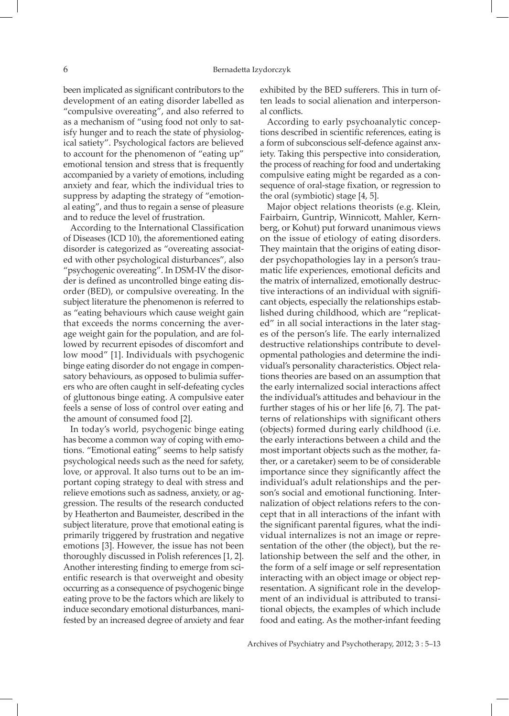been implicated as significant contributors to the development of an eating disorder labelled as "compulsive overeating", and also referred to as a mechanism of "using food not only to satisfy hunger and to reach the state of physiological satiety". Psychological factors are believed to account for the phenomenon of "eating up" emotional tension and stress that is frequently accompanied by a variety of emotions, including anxiety and fear, which the individual tries to suppress by adapting the strategy of "emotional eating", and thus to regain a sense of pleasure and to reduce the level of frustration.

According to the International Classification of Diseases (ICD 10), the aforementioned eating disorder is categorized as "overeating associated with other psychological disturbances", also "psychogenic overeating". In DSM-IV the disorder is defined as uncontrolled binge eating disorder (BED), or compulsive overeating. In the subject literature the phenomenon is referred to as "eating behaviours which cause weight gain that exceeds the norms concerning the average weight gain for the population, and are followed by recurrent episodes of discomfort and low mood" [1]. Individuals with psychogenic binge eating disorder do not engage in compensatory behaviours, as opposed to bulimia sufferers who are often caught in self-defeating cycles of gluttonous binge eating. A compulsive eater feels a sense of loss of control over eating and the amount of consumed food [2].

In today's world, psychogenic binge eating has become a common way of coping with emotions. "Emotional eating" seems to help satisfy psychological needs such as the need for safety, love, or approval. It also turns out to be an important coping strategy to deal with stress and relieve emotions such as sadness, anxiety, or aggression. The results of the research conducted by Heatherton and Baumeister, described in the subject literature, prove that emotional eating is primarily triggered by frustration and negative emotions [3]. However, the issue has not been thoroughly discussed in Polish references [1, 2]. Another interesting finding to emerge from scientific research is that overweight and obesity occurring as a consequence of psychogenic binge eating prove to be the factors which are likely to induce secondary emotional disturbances, manifested by an increased degree of anxiety and fear exhibited by the BED sufferers. This in turn often leads to social alienation and interpersonal conflicts.

According to early psychoanalytic conceptions described in scientific references, eating is a form of subconscious self-defence against anxiety. Taking this perspective into consideration, the process of reaching for food and undertaking compulsive eating might be regarded as a consequence of oral-stage fixation, or regression to the oral (symbiotic) stage [4, 5].

Major object relations theorists (e.g. Klein, Fairbairn, Guntrip, Winnicott, Mahler, Kernberg, or Kohut) put forward unanimous views on the issue of etiology of eating disorders. They maintain that the origins of eating disorder psychopathologies lay in a person's traumatic life experiences, emotional deficits and the matrix of internalized, emotionally destructive interactions of an individual with significant objects, especially the relationships established during childhood, which are "replicated" in all social interactions in the later stages of the person's life. The early internalized destructive relationships contribute to developmental pathologies and determine the individual's personality characteristics. Object relations theories are based on an assumption that the early internalized social interactions affect the individual's attitudes and behaviour in the further stages of his or her life [6, 7]. The patterns of relationships with significant others (objects) formed during early childhood (i.e. the early interactions between a child and the most important objects such as the mother, father, or a caretaker) seem to be of considerable importance since they significantly affect the individual's adult relationships and the person's social and emotional functioning. Internalization of object relations refers to the concept that in all interactions of the infant with the significant parental figures, what the individual internalizes is not an image or representation of the other (the object), but the relationship between the self and the other, in the form of a self image or self representation interacting with an object image or object representation. A significant role in the development of an individual is attributed to transitional objects, the examples of which include food and eating. As the mother-infant feeding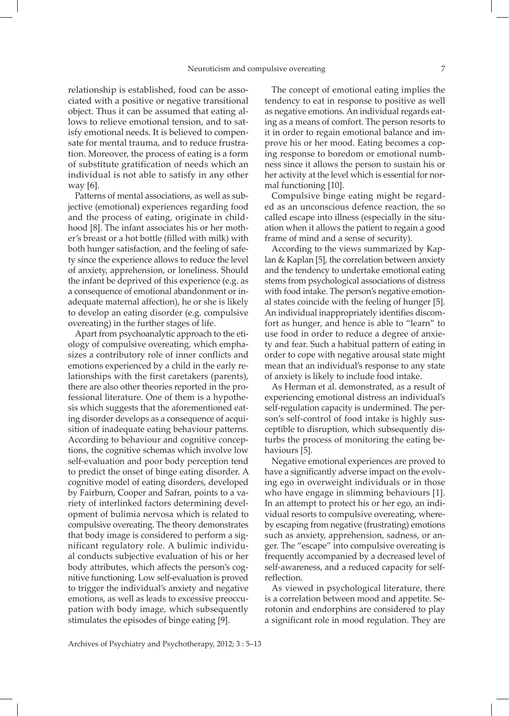relationship is established, food can be associated with a positive or negative transitional object. Thus it can be assumed that eating allows to relieve emotional tension, and to satisfy emotional needs. It is believed to compensate for mental trauma, and to reduce frustration. Moreover, the process of eating is a form of substitute gratification of needs which an individual is not able to satisfy in any other way [6].

Patterns of mental associations, as well as subjective (emotional) experiences regarding food and the process of eating, originate in childhood [8]. The infant associates his or her mother's breast or a hot bottle (filled with milk) with both hunger satisfaction, and the feeling of safety since the experience allows to reduce the level of anxiety, apprehension, or loneliness. Should the infant be deprived of this experience (e.g. as a consequence of emotional abandonment or inadequate maternal affection), he or she is likely to develop an eating disorder (e.g. compulsive overeating) in the further stages of life.

Apart from psychoanalytic approach to the etiology of compulsive overeating, which emphasizes a contributory role of inner conflicts and emotions experienced by a child in the early relationships with the first caretakers (parents), there are also other theories reported in the professional literature. One of them is a hypothesis which suggests that the aforementioned eating disorder develops as a consequence of acquisition of inadequate eating behaviour patterns. According to behaviour and cognitive conceptions, the cognitive schemas which involve low self-evaluation and poor body perception tend to predict the onset of binge eating disorder. A cognitive model of eating disorders, developed by Fairburn, Cooper and Safran, points to a variety of interlinked factors determining development of bulimia nervosa which is related to compulsive overeating. The theory demonstrates that body image is considered to perform a significant regulatory role. A bulimic individual conducts subjective evaluation of his or her body attributes, which affects the person's cognitive functioning. Low self-evaluation is proved to trigger the individual's anxiety and negative emotions, as well as leads to excessive preoccupation with body image, which subsequently stimulates the episodes of binge eating [9].

The concept of emotional eating implies the tendency to eat in response to positive as well as negative emotions. An individual regards eating as a means of comfort. The person resorts to it in order to regain emotional balance and improve his or her mood. Eating becomes a coping response to boredom or emotional numbness since it allows the person to sustain his or her activity at the level which is essential for normal functioning [10].

Compulsive binge eating might be regarded as an unconscious defence reaction, the so called escape into illness (especially in the situation when it allows the patient to regain a good frame of mind and a sense of security).

According to the views summarized by Kaplan & Kaplan [5], the correlation between anxiety and the tendency to undertake emotional eating stems from psychological associations of distress with food intake. The person's negative emotional states coincide with the feeling of hunger [5]. An individual inappropriately identifies discomfort as hunger, and hence is able to "learn" to use food in order to reduce a degree of anxiety and fear. Such a habitual pattern of eating in order to cope with negative arousal state might mean that an individual's response to any state of anxiety is likely to include food intake.

As Herman et al. demonstrated, as a result of experiencing emotional distress an individual's self-regulation capacity is undermined. The person's self-control of food intake is highly susceptible to disruption, which subsequently disturbs the process of monitoring the eating behaviours [5].

Negative emotional experiences are proved to have a significantly adverse impact on the evolving ego in overweight individuals or in those who have engage in slimming behaviours [1]. In an attempt to protect his or her ego, an individual resorts to compulsive overeating, whereby escaping from negative (frustrating) emotions such as anxiety, apprehension, sadness, or anger. The "escape" into compulsive overeating is frequently accompanied by a decreased level of self-awareness, and a reduced capacity for selfreflection.

As viewed in psychological literature, there is a correlation between mood and appetite. Serotonin and endorphins are considered to play a significant role in mood regulation. They are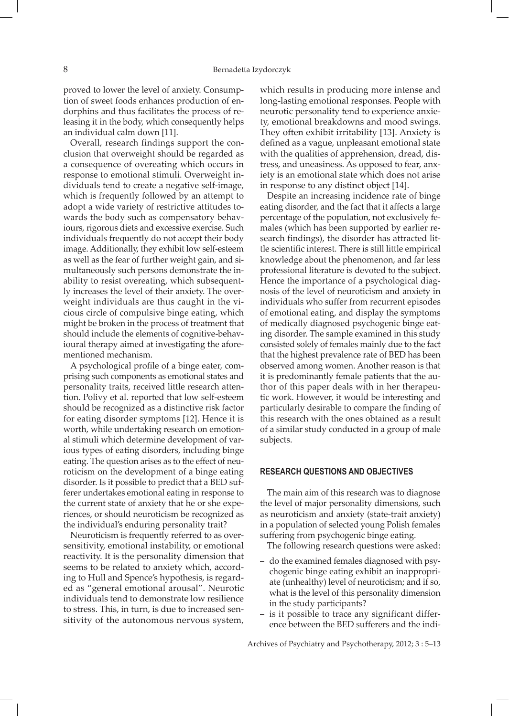proved to lower the level of anxiety. Consumption of sweet foods enhances production of endorphins and thus facilitates the process of releasing it in the body, which consequently helps an individual calm down [11].

Overall, research findings support the conclusion that overweight should be regarded as a consequence of overeating which occurs in response to emotional stimuli. Overweight individuals tend to create a negative self-image, which is frequently followed by an attempt to adopt a wide variety of restrictive attitudes towards the body such as compensatory behaviours, rigorous diets and excessive exercise. Such individuals frequently do not accept their body image. Additionally, they exhibit low self-esteem as well as the fear of further weight gain, and simultaneously such persons demonstrate the inability to resist overeating, which subsequently increases the level of their anxiety. The overweight individuals are thus caught in the vicious circle of compulsive binge eating, which might be broken in the process of treatment that should include the elements of cognitive-behavioural therapy aimed at investigating the aforementioned mechanism.

A psychological profile of a binge eater, comprising such components as emotional states and personality traits, received little research attention. Polivy et al. reported that low self-esteem should be recognized as a distinctive risk factor for eating disorder symptoms [12]. Hence it is worth, while undertaking research on emotional stimuli which determine development of various types of eating disorders, including binge eating. The question arises as to the effect of neuroticism on the development of a binge eating disorder. Is it possible to predict that a BED sufferer undertakes emotional eating in response to the current state of anxiety that he or she experiences, or should neuroticism be recognized as the individual's enduring personality trait?

Neuroticism is frequently referred to as oversensitivity, emotional instability, or emotional reactivity. It is the personality dimension that seems to be related to anxiety which, according to Hull and Spence's hypothesis, is regarded as "general emotional arousal". Neurotic individuals tend to demonstrate low resilience to stress. This, in turn, is due to increased sensitivity of the autonomous nervous system,

which results in producing more intense and long-lasting emotional responses. People with neurotic personality tend to experience anxiety, emotional breakdowns and mood swings. They often exhibit irritability [13]. Anxiety is defined as a vague, unpleasant emotional state with the qualities of apprehension, dread, distress, and uneasiness. As opposed to fear, anxiety is an emotional state which does not arise in response to any distinct object [14].

Despite an increasing incidence rate of binge eating disorder, and the fact that it affects a large percentage of the population, not exclusively females (which has been supported by earlier research findings), the disorder has attracted little scientific interest. There is still little empirical knowledge about the phenomenon, and far less professional literature is devoted to the subject. Hence the importance of a psychological diagnosis of the level of neuroticism and anxiety in individuals who suffer from recurrent episodes of emotional eating, and display the symptoms of medically diagnosed psychogenic binge eating disorder. The sample examined in this study consisted solely of females mainly due to the fact that the highest prevalence rate of BED has been observed among women. Another reason is that it is predominantly female patients that the author of this paper deals with in her therapeutic work. However, it would be interesting and particularly desirable to compare the finding of this research with the ones obtained as a result of a similar study conducted in a group of male subjects.

#### **RESEARCH QUESTIONS AND OBJECTIVES**

The main aim of this research was to diagnose the level of major personality dimensions, such as neuroticism and anxiety (state-trait anxiety) in a population of selected young Polish females suffering from psychogenic binge eating.

The following research questions were asked:

- do the examined females diagnosed with psychogenic binge eating exhibit an inappropriate (unhealthy) level of neuroticism; and if so, what is the level of this personality dimension in the study participants?
- is it possible to trace any significant difference between the BED sufferers and the indi-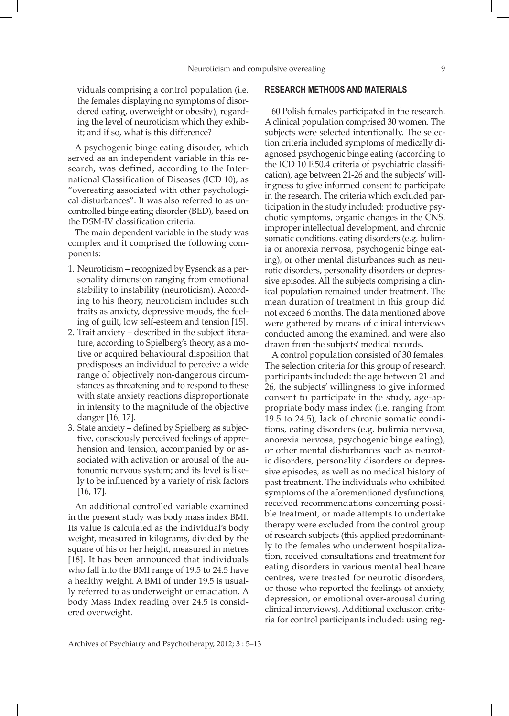viduals comprising a control population (i.e. the females displaying no symptoms of disordered eating, overweight or obesity), regarding the level of neuroticism which they exhibit; and if so, what is this difference?

A psychogenic binge eating disorder, which served as an independent variable in this research, was defined, according to the International Classification of Diseases (ICD 10), as "overeating associated with other psychological disturbances". It was also referred to as uncontrolled binge eating disorder (BED), based on the DSM-IV classification criteria.

The main dependent variable in the study was complex and it comprised the following components:

- 1. Neuroticism recognized by Eysenck as a personality dimension ranging from emotional stability to instability (neuroticism). According to his theory, neuroticism includes such traits as anxiety, depressive moods, the feeling of guilt, low self-esteem and tension [15].
- 2. Trait anxiety described in the subject literature, according to Spielberg's theory, as a motive or acquired behavioural disposition that predisposes an individual to perceive a wide range of objectively non-dangerous circumstances as threatening and to respond to these with state anxiety reactions disproportionate in intensity to the magnitude of the objective danger [16, 17].
- 3. State anxiety defined by Spielberg as subjective, consciously perceived feelings of apprehension and tension, accompanied by or associated with activation or arousal of the autonomic nervous system; and its level is likely to be influenced by a variety of risk factors [16, 17].

An additional controlled variable examined in the present study was body mass index BMI. Its value is calculated as the individual's body weight, measured in kilograms, divided by the square of his or her height, measured in metres [18]. It has been announced that individuals who fall into the BMI range of 19.5 to 24.5 have a healthy weight. A BMI of under 19.5 is usually referred to as underweight or emaciation. A body Mass Index reading over 24.5 is considered overweight.

## **RESEARCH METHODS AND MATERIALS**

60 Polish females participated in the research. A clinical population comprised 30 women. The subjects were selected intentionally. The selection criteria included symptoms of medically diagnosed psychogenic binge eating (according to the ICD 10 F.50.4 criteria of psychiatric classification), age between 21-26 and the subjects' willingness to give informed consent to participate in the research. The criteria which excluded participation in the study included: productive psychotic symptoms, organic changes in the CNS, improper intellectual development, and chronic somatic conditions, eating disorders (e.g. bulimia or anorexia nervosa, psychogenic binge eating), or other mental disturbances such as neurotic disorders, personality disorders or depressive episodes. All the subjects comprising a clinical population remained under treatment. The mean duration of treatment in this group did not exceed 6 months. The data mentioned above were gathered by means of clinical interviews conducted among the examined, and were also drawn from the subjects' medical records.

A control population consisted of 30 females. The selection criteria for this group of research participants included: the age between 21 and 26, the subjects' willingness to give informed consent to participate in the study, age*-*appropriate body mass index (i.e. ranging from 19.5 to 24.5), lack of chronic somatic conditions, eating disorders (e.g. bulimia nervosa, anorexia nervosa, psychogenic binge eating), or other mental disturbances such as neurotic disorders, personality disorders or depressive episodes, as well as no medical history of past treatment. The individuals who exhibited symptoms of the aforementioned dysfunctions, received recommendations concerning possible treatment, or made attempts to undertake therapy were excluded from the control group of research subjects (this applied predominantly to the females who underwent hospitalization, received consultations and treatment for eating disorders in various mental healthcare centres, were treated for neurotic disorders, or those who reported the feelings of anxiety, depression, or emotional over-arousal during clinical interviews). Additional exclusion criteria for control participants included: using reg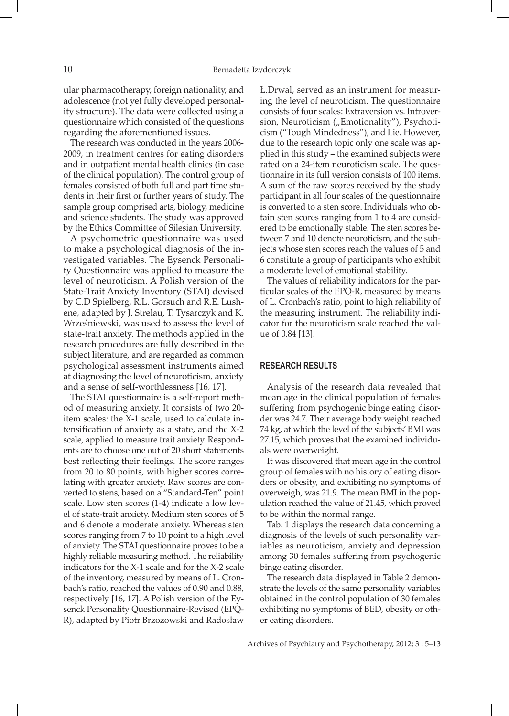ular pharmacotherapy, foreign nationality, and adolescence (not yet fully developed personality structure). The data were collected using a questionnaire which consisted of the questions regarding the aforementioned issues.

The research was conducted in the years 2006- 2009, in treatment centres for eating disorders and in outpatient mental health clinics (in case of the clinical population). The control group of females consisted of both full and part time students in their first or further years of study. The sample group comprised arts, biology, medicine and science students. The study was approved by the Ethics Committee of Silesian University.

A psychometric questionnaire was used to make a psychological diagnosis of the investigated variables. The Eysenck Personality Questionnaire was applied to measure the level of neuroticism. A Polish version of the State*-*Trait Anxiety Inventory (STAI) devised by C.D Spielberg, R.L. Gorsuch and R.E. Lushene, adapted by J. Strelau, T. Tysarczyk and K. Wrześniewski, was used to assess the level of state-trait anxiety. The methods applied in the research procedures are fully described in the subject literature, and are regarded as common psychological assessment instruments aimed at diagnosing the level of neuroticism, anxiety and a sense of self-worthlessness [16, 17].

The STAI questionnaire is a self-report method of measuring anxiety. It consists of two 20 item scales: the X-1 scale, used to calculate intensification of anxiety as a state, and the X-2 scale, applied to measure trait anxiety. Respondents are to choose one out of 20 short statements best reflecting their feelings. The score ranges from 20 to 80 points, with higher scores correlating with greater anxiety. Raw scores are converted to stens, based on a "Standard-Ten" point scale. Low sten scores (1-4) indicate a low level of state-trait anxiety. Medium sten scores of 5 and 6 denote a moderate anxiety. Whereas sten scores ranging from 7 to 10 point to a high level of anxiety. The STAI questionnaire proves to be a highly reliable measuring method. The reliability indicators for the X-1 scale and for the X-2 scale of the inventory, measured by means of L. Cronbach's ratio, reached the values of 0.90 and 0.88, respectively [16, 17]. A Polish version of the Eysenck Personality Questionnaire-Revised (EPQ-R), adapted by Piotr Brzozowski and Radosław Ł.Drwal, served as an instrument for measuring the level of neuroticism. The questionnaire consists of four scales: Extraversion vs. Introversion, Neuroticism ("Emotionality"), Psychoticism ("Tough Mindedness"), and Lie. However, due to the research topic only one scale was applied in this study – the examined subjects were rated on a 24-item neuroticism scale. The questionnaire in its full version consists of 100 items. A sum of the raw scores received by the study participant in all four scales of the questionnaire is converted to a sten score. Individuals who obtain sten scores ranging from 1 to 4 are considered to be emotionally stable. The sten scores between 7 and 10 denote neuroticism, and the subjects whose sten scores reach the values of 5 and 6 constitute a group of participants who exhibit a moderate level of emotional stability.

The values of reliability indicators for the particular scales of the EPQ-R, measured by means of L. Cronbach's ratio, point to high reliability of the measuring instrument. The reliability indicator for the neuroticism scale reached the value of 0.84 [13].

## **RESEARCH RESULTS**

Analysis of the research data revealed that mean age in the clinical population of females suffering from psychogenic binge eating disorder was 24.7. Their average body weight reached 74 kg, at which the level of the subjects' BMI was 27.15, which proves that the examined individuals were overweight.

It was discovered that mean age in the control group of females with no history of eating disorders or obesity, and exhibiting no symptoms of overweigh, was 21.9. The mean BMI in the population reached the value of 21.45, which proved to be within the normal range.

Tab. 1 displays the research data concerning a diagnosis of the levels of such personality variables as neuroticism, anxiety and depression among 30 females suffering from psychogenic binge eating disorder.

The research data displayed in Table 2 demonstrate the levels of the same personality variables obtained in the control population of 30 females exhibiting no symptoms of BED, obesity or other eating disorders.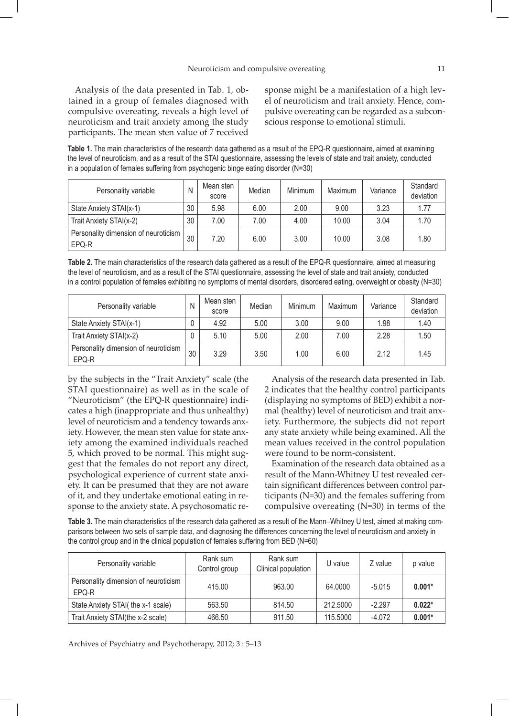Analysis of the data presented in Tab. 1, obtained in a group of females diagnosed with compulsive overeating, reveals a high level of neuroticism and trait anxiety among the study participants. The mean sten value of 7 received sponse might be a manifestation of a high level of neuroticism and trait anxiety. Hence, compulsive overeating can be regarded as a subconscious response to emotional stimuli.

**Table 1.** The main characteristics of the research data gathered as a result of the EPQ-R questionnaire, aimed at examining the level of neuroticism, and as a result of the STAI questionnaire, assessing the levels of state and trait anxiety, conducted in a population of females suffering from psychogenic binge eating disorder (N=30)

| Personality variable                          | N  | Mean sten<br>score | Median | Minimum | Maximum | Variance | Standard<br>deviation |
|-----------------------------------------------|----|--------------------|--------|---------|---------|----------|-----------------------|
| State Anxiety STAI(x-1)                       | 30 | 5.98               | 6.00   | 2.00    | 9.00    | 3.23     | 1.77                  |
| Trait Anxiety STAI(x-2)                       | 30 | 7.00               | 7.00   | 4.00    | 10.00   | 3.04     | 1.70                  |
| Personality dimension of neuroticism<br>EPQ-R | 30 | 7.20               | 6.00   | 3.00    | 10.00   | 3.08     | 1.80                  |

**Table 2.** The main characteristics of the research data gathered as a result of the EPQ-R questionnaire, aimed at measuring the level of neuroticism, and as a result of the STAI questionnaire, assessing the level of state and trait anxiety, conducted in a control population of females exhibiting no symptoms of mental disorders, disordered eating, overweight or obesity (N=30)

| Personality variable                          | N  | Mean sten<br>score | Median | Minimum | Maximum | Variance | Standard<br>deviation |
|-----------------------------------------------|----|--------------------|--------|---------|---------|----------|-----------------------|
| State Anxiety STAI(x-1)                       |    | 4.92               | 5.00   | 3.00    | 9.00    | 1.98     | 1.40                  |
| Trait Anxiety STAI(x-2)                       |    | 5.10               | 5.00   | 2.00    | 7.00    | 2.28     | 1.50                  |
| Personality dimension of neuroticism<br>EPQ-R | 30 | 3.29               | 3.50   | 1.00    | 6.00    | 2.12     | 1.45                  |

by the subjects in the "Trait Anxiety" scale (the STAI questionnaire) as well as in the scale of "Neuroticism" (the EPQ-R questionnaire) indicates a high (inappropriate and thus unhealthy) level of neuroticism and a tendency towards anxiety. However, the mean sten value for state anxiety among the examined individuals reached 5, which proved to be normal. This might suggest that the females do not report any direct, psychological experience of current state anxiety. It can be presumed that they are not aware of it, and they undertake emotional eating in response to the anxiety state. A psychosomatic re-

Analysis of the research data presented in Tab. 2 indicates that the healthy control participants (displaying no symptoms of BED) exhibit a normal (healthy) level of neuroticism and trait anxiety. Furthermore, the subjects did not report any state anxiety while being examined. All the mean values received in the control population were found to be norm-consistent.

Examination of the research data obtained as a result of the Mann-Whitney U test revealed certain significant differences between control participants (N=30) and the females suffering from compulsive overeating (N=30) in terms of the

**Table 3.** The main characteristics of the research data gathered as a result of the Mann–Whitney U test, aimed at making comparisons between two sets of sample data, and diagnosing the differences concerning the level of neuroticism and anxiety in the control group and in the clinical population of females suffering from BED (N=60)

| Personality variable                          | Rank sum<br>Control group | Rank sum<br>Clinical population | U value  | Z value  | p value  |
|-----------------------------------------------|---------------------------|---------------------------------|----------|----------|----------|
| Personality dimension of neuroticism<br>EPQ-R | 415.00                    | 963.00                          | 64.0000  | $-5.015$ | $0.001*$ |
| State Anxiety STAI( the x-1 scale)            | 563.50                    | 814.50                          | 212,5000 | $-2.297$ | $0.022*$ |
| Trait Anxiety STAI(the x-2 scale)             | 466.50                    | 911.50                          | 115.5000 | $-4.072$ | $0.001*$ |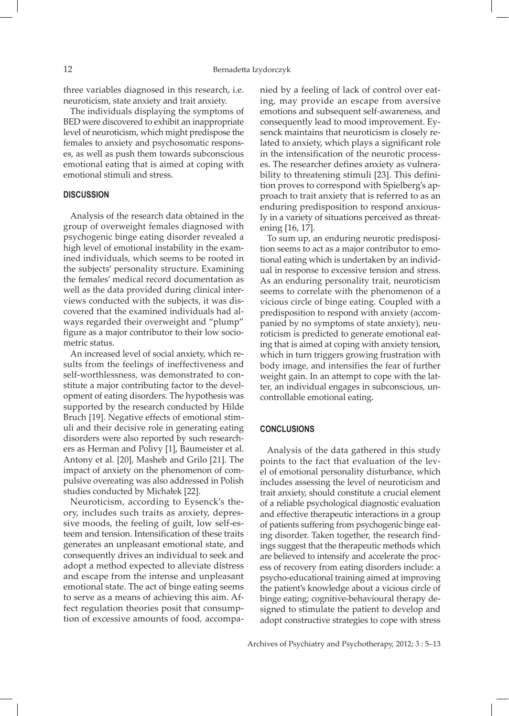three variables diagnosed in this research, i.e. neuroticism, state anxiety and trait anxiety.

The individuals displaying the symptoms of BED were discovered to exhibit an inappropriate level of neuroticism, which might predispose the females to anxiety and psychosomatic responses, as well as push them towards subconscious emotional eating that is aimed at coping with emotional stimuli and stress.

## **DISCUSSION**

Analysis of the research data obtained in the group of overweight females diagnosed with psychogenic binge eating disorder revealed a high level of emotional instability in the examined individuals, which seems to be rooted in the subjects' personality structure. Examining the females' medical record documentation as well as the data provided during clinical interviews conducted with the subjects, it was discovered that the examined individuals had always regarded their overweight and "plump" figure as a major contributor to their low sociometric status.

An increased level of social anxiety, which results from the feelings of ineffectiveness and self-worthlessness, was demonstrated to constitute a major contributing factor to the development of eating disorders. The hypothesis was supported by the research conducted by Hilde Bruch [19]. Negative effects of emotional stimuli and their decisive role in generating eating disorders were also reported by such researchers as Herman and Polivy [1], Baumeister et al. Antony et al. [20], Masheb and Grilo [21]. The impact of anxiety on the phenomenon of compulsive overeating was also addressed in Polish studies conducted by Michałek [22].

Neuroticism, according to Eysenck's theory, includes such traits as anxiety, depressive moods, the feeling of guilt, low self-esteem and tension. Intensification of these traits generates an unpleasant emotional state, and consequently drives an individual to seek and adopt a method expected to alleviate distress and escape from the intense and unpleasant emotional state. The act of binge eating seems to serve as a means of achieving this aim. Affect regulation theories posit that consumption of excessive amounts of food*,* accompanied by a feeling of lack of control over eating*,* may provide an escape from aversive emotions and subsequent self*-*awareness*,* and consequently lead to mood improvement. Eysenck maintains that neuroticism is closely related to anxiety, which plays a significant role in the intensification of the neurotic processes. The researcher defines anxiety as vulnerability to threatening stimuli [23]. This definition proves to correspond with Spielberg's approach to trait anxiety that is referred to as an enduring predisposition to respond anxiously in a variety of situations perceived as threatening [16, 17].

To sum up, an enduring neurotic predisposition seems to act as a major contributor to emotional eating which is undertaken by an individual in response to excessive tension and stress. As an enduring personality trait, neuroticism seems to correlate with the phenomenon of a vicious circle of binge eating. Coupled with a predisposition to respond with anxiety (accompanied by no symptoms of state anxiety), neuroticism is predicted to generate emotional eating that is aimed at coping with anxiety tension, which in turn triggers growing frustration with body image, and intensifies the fear of further weight gain. In an attempt to cope with the latter, an individual engages in subconscious, uncontrollable emotional eating.

## **CONCLUSIONS**

Analysis of the data gathered in this study points to the fact that evaluation of the level of emotional personality disturbance, which includes assessing the level of neuroticism and trait anxiety, should constitute a crucial element of a reliable psychological diagnostic evaluation and effective therapeutic interactions in a group of patients suffering from psychogenic binge eating disorder. Taken together, the research findings suggest that the therapeutic methods which are believed to intensify and accelerate the process of recovery from eating disorders include: a psycho-educational training aimed at improving the patient's knowledge about a vicious circle of binge eating; cognitive-behavioural therapy designed to stimulate the patient to develop and adopt constructive strategies to cope with stress